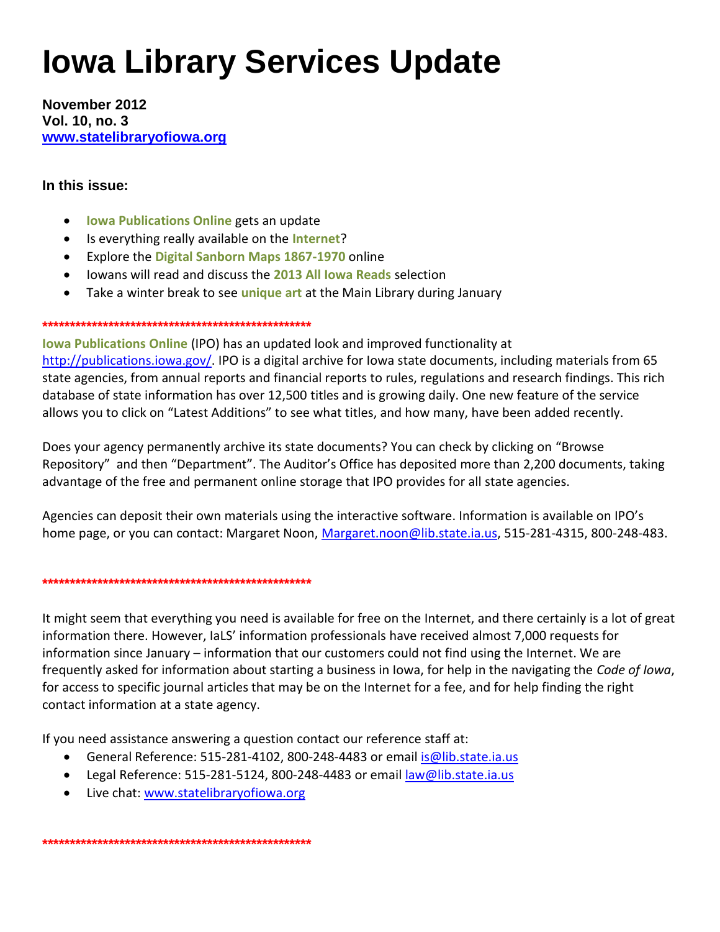# **Iowa Library Services Update**

**November 2012 Vol. 10, no. 3 [www.statelibraryofiowa.org](http://www.statelibraryofiowa.org/)**

## **In this issue:**

- **Iowa Publications Online** gets an update
- Is everything really available on the **Internet**?
- Explore the **Digital Sanborn Maps 1867-1970** online
- Iowans will read and discuss the **2013 All Iowa Reads** selection
- Take a winter break to see **unique art** at the Main Library during January

#### **\*\*\*\*\*\*\*\*\*\*\*\*\*\*\*\*\*\*\*\*\*\*\*\*\*\*\*\*\*\*\*\*\*\*\*\*\*\*\*\*\*\*\*\*\*\*\*\*\***

**Iowa Publications Online** (IPO) has an updated look and improved functionality at [http://publications.iowa.gov/.](http://publications.iowa.gov/) IPO is a digital archive for Iowa state documents, including materials from 65 state agencies, from annual reports and financial reports to rules, regulations and research findings. This rich database of state information has over 12,500 titles and is growing daily. One new feature of the service allows you to click on "Latest Additions" to see what titles, and how many, have been added recently.

Does your agency permanently archive its state documents? You can check by clicking on "Browse Repository" and then "Department". The Auditor's Office has deposited more than 2,200 documents, taking advantage of the free and permanent online storage that IPO provides for all state agencies.

Agencies can deposit their own materials using the interactive software. Information is available on IPO's home page, or you can contact: Margaret Noon, [Margaret.noon@lib.state.ia.us,](mailto:Margaret.noon@lib.state.ia.us) 515-281-4315, 800-248-483.

#### **\*\*\*\*\*\*\*\*\*\*\*\*\*\*\*\*\*\*\*\*\*\*\*\*\*\*\*\*\*\*\*\*\*\*\*\*\*\*\*\*\*\*\*\*\*\*\*\*\***

It might seem that everything you need is available for free on the Internet, and there certainly is a lot of great information there. However, IaLS' information professionals have received almost 7,000 requests for information since January – information that our customers could not find using the Internet. We are frequently asked for information about starting a business in Iowa, for help in the navigating the *Code of Iowa*, for access to specific journal articles that may be on the Internet for a fee, and for help finding the right contact information at a state agency.

If you need assistance answering a question contact our reference staff at:

- General Reference: 515-281-4102, 800-248-4483 or email is @lib.state.ia.us
- Legal Reference: 515-281-5124, 800-248-4483 or email [law@lib.state.ia.us](mailto:law@lib.state.ia.us)
- Live chat: [www.statelibraryofiowa.org](http://www.statelibraryofiowa.org/)

**\*\*\*\*\*\*\*\*\*\*\*\*\*\*\*\*\*\*\*\*\*\*\*\*\*\*\*\*\*\*\*\*\*\*\*\*\*\*\*\*\*\*\*\*\*\*\*\*\***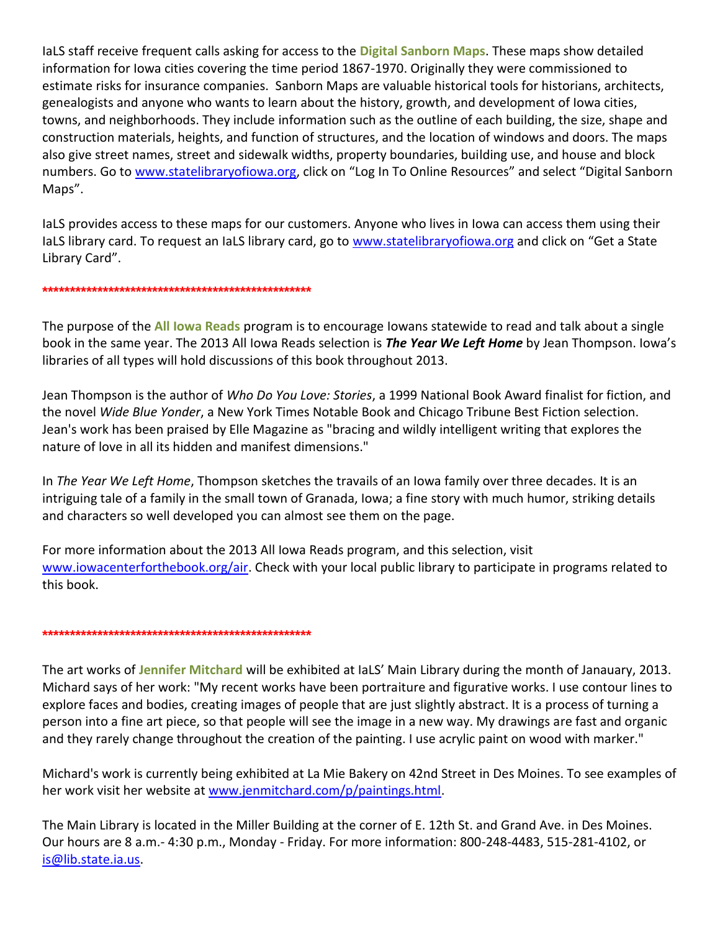IaLS staff receive frequent calls asking for access to the **Digital Sanborn Maps**. These maps show detailed information for Iowa cities covering the time period 1867-1970. Originally they were commissioned to estimate risks for insurance companies. Sanborn Maps are valuable historical tools for historians, architects, genealogists and anyone who wants to learn about the history, growth, and development of Iowa cities, towns, and neighborhoods. They include information such as the outline of each building, the size, shape and construction materials, heights, and function of structures, and the location of windows and doors. The maps also give street names, street and sidewalk widths, property boundaries, building use, and house and block numbers. Go to [www.statelibraryofiowa.org](http://www.statelibraryofiowa.org/), click on "Log In To Online Resources" and select "Digital Sanborn Maps".

IaLS provides access to these maps for our customers. Anyone who lives in Iowa can access them using their IaLS library card. To request an IaLS library card, go to [www.statelibraryofiowa.org](http://www.statelibraryofiowa.org/) and click on "Get a State Library Card".

#### **\*\*\*\*\*\*\*\*\*\*\*\*\*\*\*\*\*\*\*\*\*\*\*\*\*\*\*\*\*\*\*\*\*\*\*\*\*\*\*\*\*\*\*\*\*\*\*\*\***

The purpose of the **All Iowa Reads** program is to encourage Iowans statewide to read and talk about a single book in the same year. The 2013 All Iowa Reads selection is *The Year We Left Home* by Jean Thompson. Iowa's libraries of all types will hold discussions of this book throughout 2013.

Jean Thompson is the author of *Who Do You Love: Stories*, a 1999 National Book Award finalist for fiction, and the novel *Wide Blue Yonder*, a New York Times Notable Book and Chicago Tribune Best Fiction selection. Jean's work has been praised by Elle Magazine as "bracing and wildly intelligent writing that explores the nature of love in all its hidden and manifest dimensions."

In *The Year We Left Home*, Thompson sketches the travails of an Iowa family over three decades. It is an intriguing tale of a family in the small town of Granada, Iowa; a fine story with much humor, striking details and characters so well developed you can almost see them on the page.

For more information about the 2013 All Iowa Reads program, and this selection, visit [www.iowacenterforthebook.org/air.](http://www.iowacenterforthebook.org/air) Check with your local public library to participate in programs related to this book.

### **\*\*\*\*\*\*\*\*\*\*\*\*\*\*\*\*\*\*\*\*\*\*\*\*\*\*\*\*\*\*\*\*\*\*\*\*\*\*\*\*\*\*\*\*\*\*\*\*\***

The art works of **Jennifer Mitchard** will be exhibited at IaLS' Main Library during the month of Janauary, 2013. Michard says of her work: "My recent works have been portraiture and figurative works. I use contour lines to explore faces and bodies, creating images of people that are just slightly abstract. It is a process of turning a person into a fine art piece, so that people will see the image in a new way. My drawings are fast and organic and they rarely change throughout the creation of the painting. I use acrylic paint on wood with marker."

Michard's work is currently being exhibited at La Mie Bakery on 42nd Street in Des Moines. To see examples of her work visit her website at [www.jenmitchard.com/p/paintings.html.](http://www.jenmitchard.com/p/paintings.html)

The Main Library is located in the Miller Building at the corner of E. 12th St. and Grand Ave. in Des Moines. Our hours are 8 a.m.- 4:30 p.m., Monday - Friday. For more information: 800-248-4483, 515-281-4102, or [is@lib.state.ia.us.](mailto:is@lib.state.ia.us)